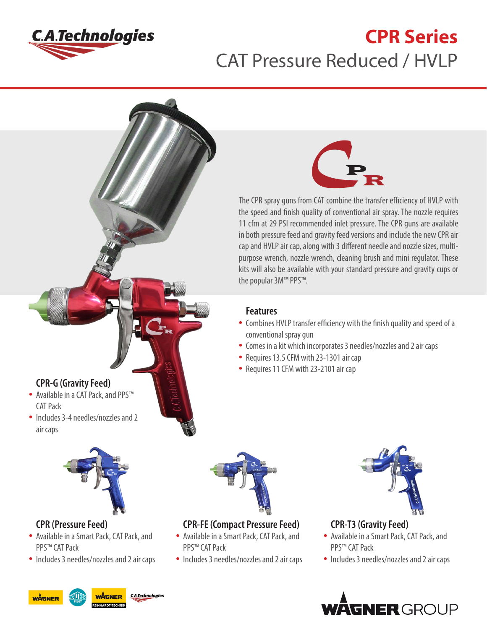

# **CPR Series** CAT Pressure Reduced / HVLP





The CPR spray guns from CAT combine the transfer efficiency of HVLP with the speed and finish quality of conventional air spray. The nozzle requires 11 cfm at 29 PSI recommended inlet pressure. The CPR guns are available in both pressure feed and gravity feed versions and include the new CPR air cap and HVLP air cap, along with 3 different needle and nozzle sizes, multipurpose wrench, nozzle wrench, cleaning brush and mini regulator. These kits will also be available with your standard pressure and gravity cups or the popular 3M™ PPS™.

#### **Features**

- Combines HVLP transfer efficiency with the finish quality and speed of a conventional spray gun
- Comes in a kit which incorporates 3 needles/nozzles and 2 air caps
- Requires 13.5 CFM with 23-1301 air cap
- Requires 11 CFM with 23-2101 air cap

## **CPR-G (Gravity Feed)**

- Available in a CAT Pack, and PPS™ CAT Pack
- Includes 3-4 needles/nozzles and 2 air caps



## **CPR (Pressure Feed)**

- Available in a Smart Pack, CAT Pack, and PPS™ CAT Pack
- Includes 3 needles/nozzles and 2 air caps



**CPR-FE (Compact Pressure Feed)**

- Available in a Smart Pack, CAT Pack, and PPS™ CAT Pack
- Includes 3 needles/nozzles and 2 air caps



### **CPR-T3 (Gravity Feed)**

- Available in a Smart Pack, CAT Pack, and PPS™ CAT Pack
- Includes 3 needles/nozzles and 2 air caps